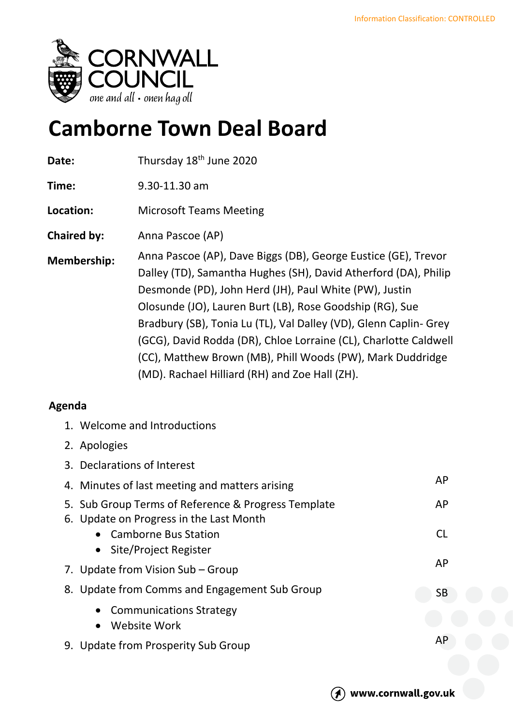

## **Camborne Town Deal Board**

| Date:              | Thursday 18 <sup>th</sup> June 2020                                                                                                                                                                                                                                                                                                                                                                                                                                                                              |
|--------------------|------------------------------------------------------------------------------------------------------------------------------------------------------------------------------------------------------------------------------------------------------------------------------------------------------------------------------------------------------------------------------------------------------------------------------------------------------------------------------------------------------------------|
| Time:              | 9.30-11.30 am                                                                                                                                                                                                                                                                                                                                                                                                                                                                                                    |
| Location:          | <b>Microsoft Teams Meeting</b>                                                                                                                                                                                                                                                                                                                                                                                                                                                                                   |
| <b>Chaired by:</b> | Anna Pascoe (AP)                                                                                                                                                                                                                                                                                                                                                                                                                                                                                                 |
| <b>Membership:</b> | Anna Pascoe (AP), Dave Biggs (DB), George Eustice (GE), Trevor<br>Dalley (TD), Samantha Hughes (SH), David Atherford (DA), Philip<br>Desmonde (PD), John Herd (JH), Paul White (PW), Justin<br>Olosunde (JO), Lauren Burt (LB), Rose Goodship (RG), Sue<br>Bradbury (SB), Tonia Lu (TL), Val Dalley (VD), Glenn Caplin- Grey<br>(GCG), David Rodda (DR), Chloe Lorraine (CL), Charlotte Caldwell<br>(CC), Matthew Brown (MB), Phill Woods (PW), Mark Duddridge<br>(MD). Rachael Hilliard (RH) and Zoe Hall (ZH). |

## **Agenda**

| 1. Welcome and Introductions                                                                   |           |
|------------------------------------------------------------------------------------------------|-----------|
| 2. Apologies                                                                                   |           |
| 3. Declarations of Interest                                                                    |           |
| 4. Minutes of last meeting and matters arising                                                 | AP        |
| 5. Sub Group Terms of Reference & Progress Template<br>6. Update on Progress in the Last Month | AP        |
| <b>Camborne Bus Station</b><br>$\bullet$                                                       | <b>CL</b> |
| Site/Project Register                                                                          |           |
| 7. Update from Vision Sub – Group                                                              | AP        |
| 8. Update from Comms and Engagement Sub Group                                                  | SB        |
| <b>Communications Strategy</b><br>Website Work                                                 |           |
| 9. Update from Prosperity Sub Group                                                            | AP        |